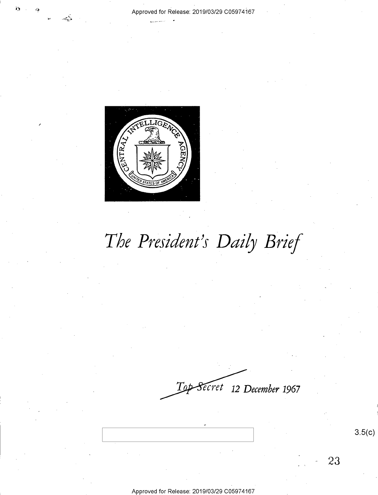

# *The President's Daily Brief*

*ecret* **12** *December* **1967** 

3.5(c)

23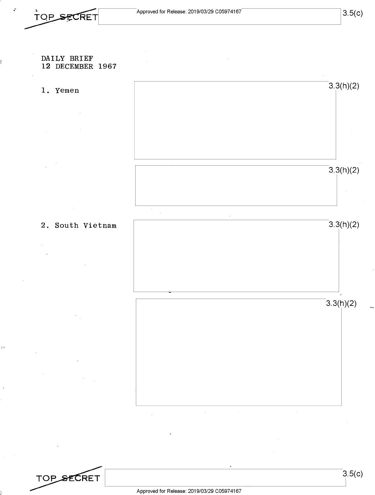# DAILY BRIEF 12 DECEMBER 1967

1. Yemen  $3.3(h)(2)$  $3.3(h)(2)$ 

2. South Vietnam 3.3(h)(2)

 $3.3(h)(2)$ 



 $\sim 10^7$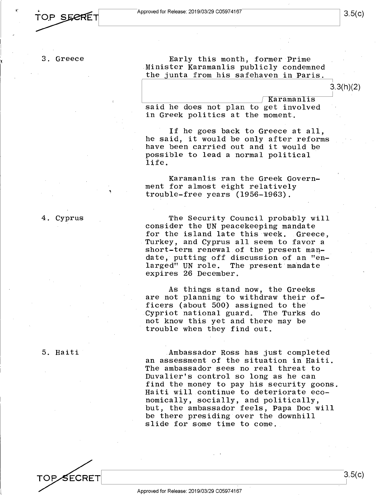3. Greece

Early this month, former Prime Minister Karamanlis publicly condemned the junta from his safehaven in Paris.<br>3.3(h)(2)<br> $\sqrt{\text{Karamanlis}}$ 

said he does not plan to get involved in Greek politics at the moment.

If he goes back to Greece at all, he said, it would be only after reforms have been carried out and it would be possible to lead a normal political life.

Karamanlis ran the Greek Government for almost eight relatively trouble-free years (1956-1963).

The Security Council probably will consider the UN peacekeeping mandate for the island late this week. Greece, Turkey, and Cyprus all seem to favor a short-term renewal of the present mandate, putting off discussion of an "enlarged" UN role. The present mandate expires 26 December.

As things stand now, the Greeks are not planning to withdraw their officers (about 500) assigned to the<br>Cypriot national guard. The Turks do Cypriot national guard. not know this yet and there may be trouble when they find out.

5. Haiti

4. Cyprus

Ambassador Ross has just completed an assessment of the situation in Haiti. The ambassador sees no real threat to Duvalier's control so long as he can find the money to pay his security goons. Haiti will continue to deteriorate economically, socially, and politically, but, the ambassador feels, Papa Doc will be there presiding over the downhill slide for some time to come.

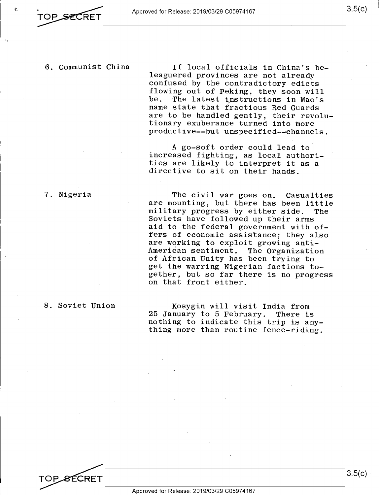# 6. Communist China

If local officials in China's beleaguered provinces are not already confused by the contradictory edicts flowing out of Peking, they soon will<br>be. The latest instructions in Mao's The latest instructions in Mao's name state that fractious Red Guards are to be handled gently, their revolutionary exuberance turned into more productive--but unspecified--channels.

A go-soft order could lead to increased fighting, as local authorities are likely to interpret it as a directive to sit on their hands.

The civil war goes on. Casualties are mounting, but there has been little<br>military progress by either side. The military progress by either side. Soviets have followed up their arms aid to the federal government with offers of economic assistance; they also are working to exploit growing anti-<br>American sentiment. The Organizatio The Organization of African Unity has been trying to get the warring Nigerian factions together, but so far there is no progress on that front either.

Kosygin will visit India from 25 January to 5 February. There is nothing to indicate this trip is anything more than routine fence-riding.

7. Nigeria

8. Soviet Union

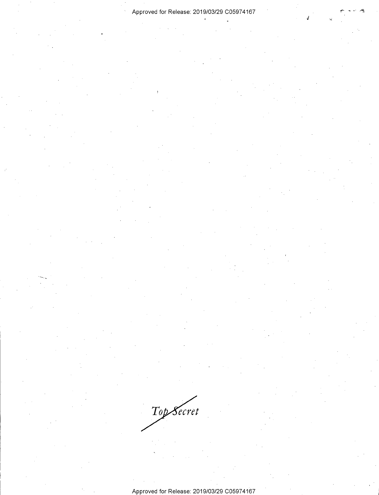J

Top Secret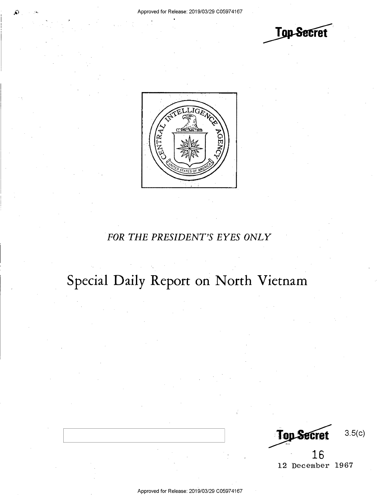**Top Secret** 



# *FOR THE PRESIDENT'S EYES ONLY*

# **Special Daily Report on North Vietnam**

**Top Secret** 3.5(c)

**16**  12 December 1967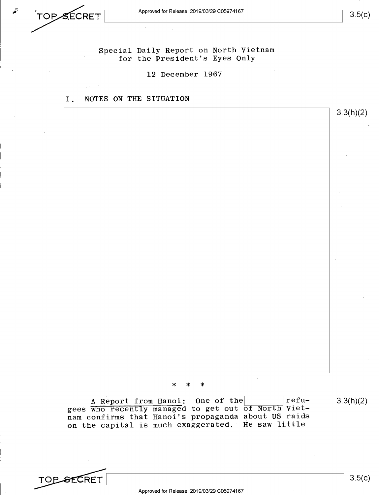Special Daily Report on North Vietnam for the President's Eyes Only

12 December 1967

# I. NOTES ON THE SITUATION



\* \* \*

A Report from Hanoi: One of the I I refugees who recently managed to get out of North Vietnam confirms that Hanoi's propaganda about US raids on the capital is much exaggerated. He saw little 3.3(h)(2)

**TOP SECRET** <br>Approved for Release: 2019/03/29 C05974167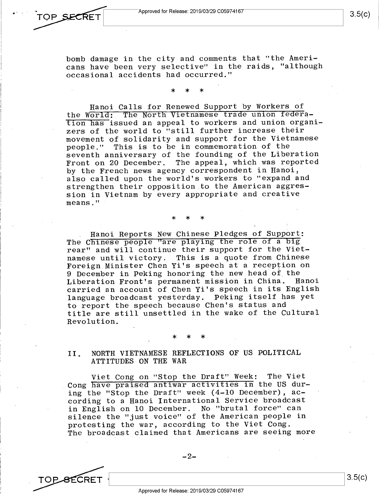$3.5(c)$ 

3.5(c)

bomb damage in the city and comments that "the Americans have been very selective" in the raids, "although occasional accidents had occurred."

\* \* \*

Hanoi Calls for Renewed Support by Workers of the World: The North Vietnamese trade union federqtion has issued an appeal to workers and union organizers of the world to "still further increase their movement of solidarity and support for the Vietnamese people." This is to be in commemoration of the seventh anniversary of the founding of the Liberation Front on 20 December. The appeal, which was reported by the French news agency correspondent in Hanoi, also called upon the world's workers to "expand and strengthen their opposition to the American aggression in Vietnam by every appropriate and creative means."

Hanoi Reports New Chinese Pledges of Support: The Chinese people "are playing the role of a big rear" and will continue their support for the Vietnamese until victory. This is a quote from Chinese Foreign Minister Chen Yi's speech at a reception on 9 December in Peking honoring the new head of the Liberation Front's permanent mission in China. Hanoi carried an account of Chen Yi's speech in its English language broadcast yesterday. Peking itself has ye<sup>t</sup> to report the speech because Chen's status and title are still unsettled in the wake of the Cultural Revolution.

\* \* \*

\* \* \*

II. NORTH VIETNAMESE REFLECTIONS OF US POLITICAL ATTITUDES ON THE WAR

Viet Cong on "Stop the Draft" Week: The Viet Cong have praised antiwar activities in the US during the "Stop the Draft" week (4-10 December), according to a Hanoi International Service broadcast in English on 10 December. No "brutal force" can silence the "just voice" of the American people in protesting the war, according to the Viet Cong. The broadcast claimed that Americans are seeing more

Approved for Release: 2019/03/29 C0597 4167

**TOP SECRET**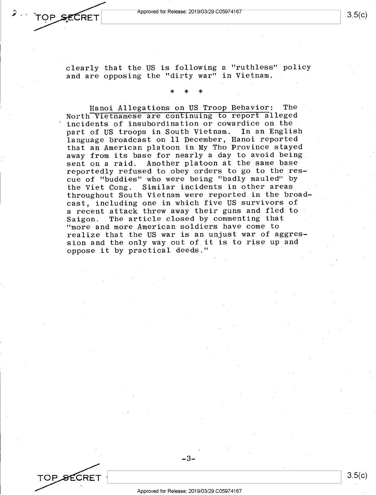Approved for Release: 2019/03/29 C05974167

~--------------------\_\_J 1 3.5(c)

clearly that the US is following a "ruthless" policy and are opposing the "dirty war" in Vietnam.

\* \* \*

Hanoi Allegations on US Troop Behavior: The North Vietnamese are continuing to repor<sup>t</sup>alleged incidents of insubordination or cowardice on the part of US troops in South Vietnam. In an English language broadcast on 11 December, Hanoi reported that an American platoon in My Tho Province stayed away from its base for nearly a day to avoid being sent on a raid. Another platoon at the same base reportedly refused to obey orders to go to the rescue of "buddies" who were being "badly mauled" by the Viet Cong. Similar incidents in other areas throughout South Vietnam were reported in the broadcast, including one in which five US survivors of <sup>a</sup>recent attack threw away their guns and fled to Saigon. The article closed by commenting that "more and more American soldiers have come to realize that the US war is an unjust war of aggression and the only way out of. it is to rise up and oppose it by practical deeds."

TOP SECRET

OP SECRET

-3-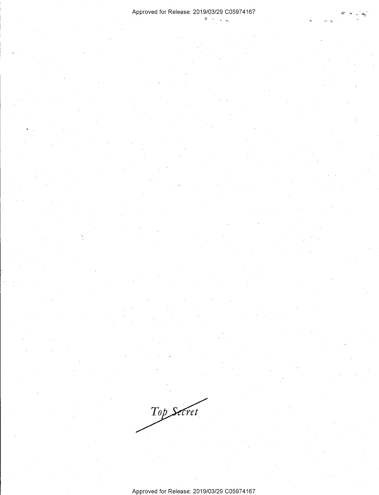$\sqrt{2}$ 

Top Secret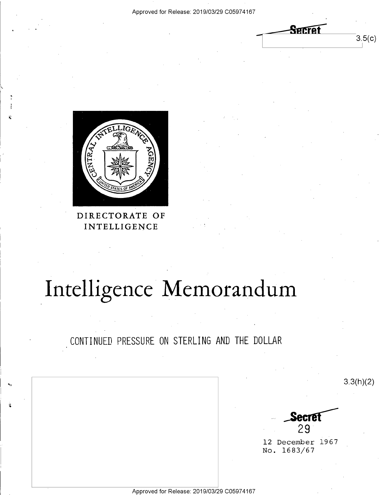Serrei

 $3.5(c)$ 



# DIRECTORATE OF INTELLIGENCE

# Intelligence Memorandum

CONTINUED PRESSURE ON STERLING AND THE DOLLAR

 $3.3(h)(2)$ secret  $29$ 12 December 1967 No. 1683/67

Approved for Release: 2019/03/29 C05974167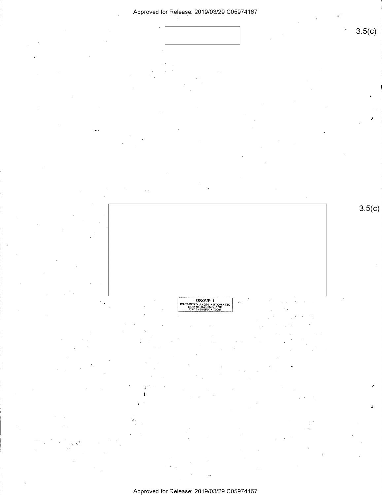

لأ

٠Ŋ. ł



CROUP 1

 $3.5(c)$ 

# Approved for Release: 2019/03/29 C05974167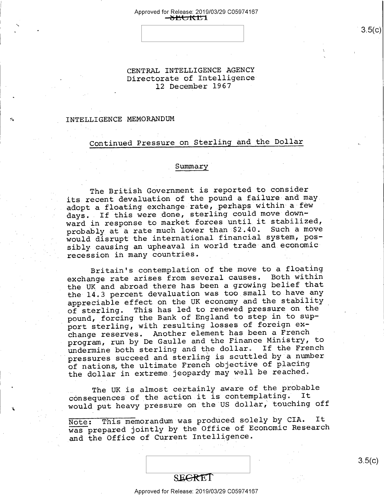### Approved for Release: 2019/03/29 C0597 4167 h ~b **ttn 1**

CENTRAL INTELLIGENCE AGENCY Directorate of Intelligence 12 December 1967

## INTELLIGENCE MEMORANDUM

# Continued Pressure on Sterlihg and the Dollar

## Summary

The British Government is reported to consider its recent devaluation of the pound a failure and may adopt a floating exchange rate, perhaps within a few days. If this were done, sterling could move downward in response to market forces until it stabilized, probably at a rate much lower than \$2.40. Such a move would disrupt the international financial system, possibly causing an upheaval in world trade and economic recession in many countries.

Britain's contemplation of the move to a floating exchange rate arises from several causes. Both within the UK and abroad there has been a growing belief that the 14.3 percent devaluation was too small to have any appreciable effect on the UK economy and the stability of sterling. This has led to renewed pressure on the pound, forcing the Bank of England to step in to support sterling, with resulting losses of foreign exchange reserves. Another element has been a French program, run by De Gaulle and the Finance Ministry, to undermine both sterling and the dollar. If the French pressures succeed and sterling is scuttled by a number of nations, the ultimate French objective of placing the dollar in extreme jeopardy may well be reached.

The UK is almost certainly aware of the probable consequences of the action it is contemplating. It would put heavy pressure on the US dollar, touching off

Note: This memorandum was produced solely by CIA. It was prepared jointly by the Office of Economic Research and the Office of Current Intelligence.

Approved for Release: 2019/03/29 C0597 4167

3.5(c)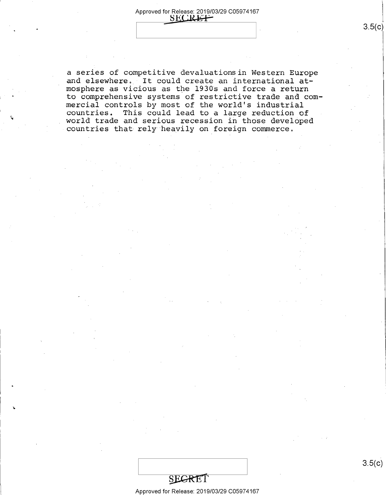## Approved for Release: 2019/03/29 C0597 4167 **8ECRET**

a series of competitive devaluationsin Western Europe and elsewhere. It could create an international atmosphere as vicious as the 1930s and force a return to comprehensive systems of restrictive trade and commercial controls by most of the world's industrial countries. This could lead to a large reduction of world trade and serious recession in those developed countries that rely heavily on foreign commerce.

Approved for Release: 2019/03/29 C0597 4167

3.5(c)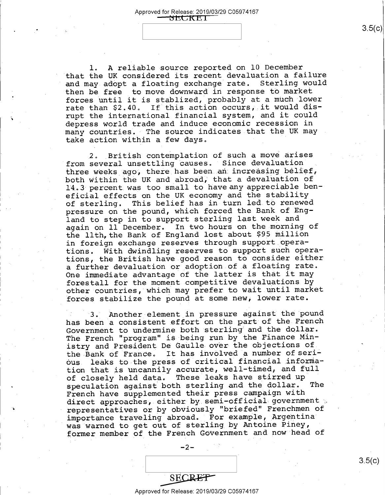1. A reliable source reported on 10 December that the UK considered its recent devaluation a failure and may adopt a floating exchange rate. Sterling would then be free to move downward in response to market forces until it is stablized, probably at a much lower rate than  $$2.40$ . If this action occurs, it would disrupt the international financial system, and it could depress world trade and induce economic recession in many countries. The source indicates that the UK may take action within a few days •

-.

..

2. British contemplation of such a move arises from several unsettling causes. Since devaluation three weeks ago, there has been an increasing belief, both within the UK and abroad, that a devaluation of 14. 3 percent was too small to have any appreciable beneficial effects on the UK economy and the stability of sterling. This belief has in turn led to renewed pressure on the pound, which forced the Bank of England to step in to support sterling last week and again on 11 December. In two hours on the morning of the llth, the Bank of England lost about \$95 million in foreign exchange reserves through support operations. With dwindling reserves to support such operations, the British have good reason to consider either <sup>a</sup>further devaluation or adoption of a floating rate. One immediate advantage of the latter is that it may forestall for the moment competitive devaluations by other countries, which may prefer to wait until market forces stabilize the pound at some new, lower rate.

3. Another element in pressure against the poun<sup>d</sup> has been a consistent effort on the part of the French Government to undermine both sterling and the dollar. The French "program" is being run by the Finance Ministry and President De Gaulle over the objections of the Bank of France. It has involved a number of serious leaks to the press of critical financial information that is uncannily accurate, well-timed, and full of closely held data. These leaks have stirred up speculation against both sterling and the dollar. The French have supplemented their press campaign with direct approaches, either by semi-official government ; representatives or by obviously "briefed" Frenchmen of importance traveling abroad. For example, Argentina was warned to get out of sterling by Antoine Piney, former member of the French Government and now head of

| <b>YET</b><br>OР. |  |
|-------------------|--|

 $-2-$ 

Approved for Release: 2019/03/29 C0597 4167

 $~\bullet$   $~\bullet$   $~\bullet$   $~\bullet$   $~\bullet$   $~\bullet$   $~\bullet$   $~\bullet$   $~\bullet$   $~\bullet$   $~\bullet$   $~\bullet$   $~\bullet$   $~\bullet$   $~\bullet$   $~\bullet$   $~\bullet$   $~\bullet$   $~\bullet$   $~\bullet$   $~\bullet$   $~\bullet$   $~\bullet$   $~\bullet$   $~\bullet$   $~\bullet$   $~\bullet$   $~\bullet$   $~\bullet$   $~\bullet$   $~\bullet$   $~\bullet$   $~\bullet$   $~\bullet$   $~\bullet$   $~\bullet$   $~\bullet$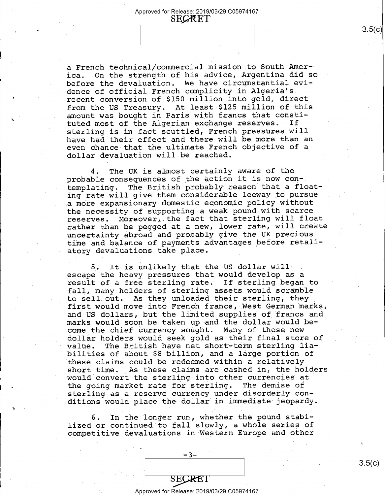a French technical/commercial mission to South America. On the strength of his advice, Argentina did so before the devaluation. We have circumstantial evidence of official French complicity in Algeria's recent conversion of \$150 million into gold, direct from the US Treasury. At least \$125 million of this amount was bought in Paris with francs that constituted most of the Algerian exchange reserves. If sterling is in fact scuttled, French pressures will have had their effect and there will be more than an even chance that the ultimate French objective of <sup>a</sup> dollar devaluation will be reached.

The UK is almost certainly aware of the probable consequences of the action it is now contemplating. The British probably reason that a floating rate will give them considerable leeway to pursue a more expansionary domestic economic policy without the necessity of supporting a weak pound with scarce reserves. Moreover,.the fact that sterling will float rather than be pegged at a new, lower rate, will create uncertainty abroad and probably give the UK precious time and balance of payments advantages before retaliatory devaluations take place.

5. It is unlikely that the US dollar will· escape the heavy pressures that would develop as <sup>a</sup> result of a free sterling rate. If sterling began to fall, many holders of sterling assets would scramble to sell out. As they unloaded their sterling, they first would move into French francs, West German marks, and US dollars, but the limited supplies of francs and marks would soon be taken up and the dollar would become the chief currency sought. Many of these new dollar holders would seek gold as their final store of value. The British have net short-term sterling liabilities of about \$8 billion, and a large portion of these claims could be redeemed within a relatively short time. As these claims are cashed in, the holders would convert the sterling into other currencies at the going market rate for sterling. The demise of sterling as a reserve currency under disorderly conditions would place the dollar in immediate jeopardy.

6. In the longer run, whether the pound stabilized or continued to fall slpwly, a whole series of competitive devaluations in Western Europe and other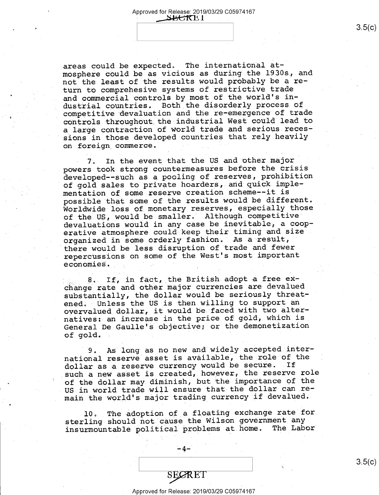areas could be expected. The international atmosphere could be as vicious as during the 1930s, and not the least of the results would probably be a return to comprehesive systems of restrictive trade and commercial controls by most of the world's industrial countries. Both the disorderly process of competitive devaluation and the re-emergence of trade controls throughout the industrial West could lead to a large contraction of World trade and serious recessions in those developed countries that rely heavily on foreign commerce.

7. In the event that the US and other major powers took strong countermeasures before the crisis developed--such as a pooling of reserves, prohibition of gold sales to private hoarders, and quick implementation of some reserve creation scheme--it is possible that some of the results would be different. Worldwide loss of monetary reserves, especially those of the US, would be smaller. Although competitive devaluations would in any case be inevitable, a cooperative atmosphere could keep their timing and size organized in some orderly fashion. As a result, there would be less disruption of trade and fewer repercussions on some of the West's most important economies.

8. If, in fact, the British adopt a free exchange rate and other major currencies are devalued substantially, the dollar would be seriously threatened. Unless the US is then willing to support an overvalued dollar, it would be faced with two alternatives: an increase in the price of gold, which is General De Gaulle's objective; or the demonetization of gol·d.

9. AS long as no new and widely accepted international reserve asset is available, the role of the dollar as a reserve currency would be secure. If such a new asset is created, however, the reserve role of the dollar may diminish, but the importance of the US in world trade will ensure that the dollar can remain the world's major trading currency if devalued.

10. The adoption of a floating exchange rate for sterling should not cause the Wilson government any<br>insurmountable political problems at home. The Labor insurmountable political problems at home.

-4-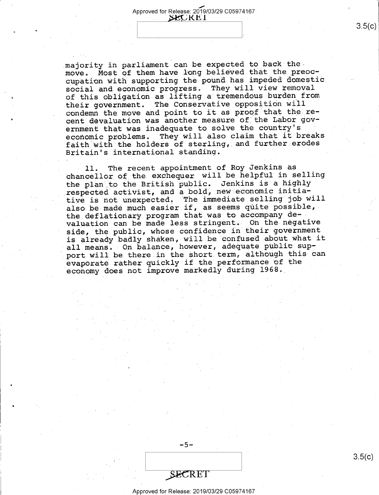majority in parliament can be expected to back the move. Most of them have long believed that the preoccupation with supporting the pound has impeded domestic social and economic progress. They will view removal of this obligation as lifting a tremendous burden from their government. The Conservative opposition will condemn the move and point to it as proof that the recent devaluation was another measure of the Labor government that was inadequate to solve the country's economic problems. They will also claim that it breaks faith with the holders of sterling, and further erodes Britain's international standing.

ll. The recent appointment of Roy Jenkins as chancellor of the exchequer will be helpful in selling the plan to the British public. Jenkins is a highly respected activist, and a bold, new economic initiative is not unexpected. The immediate selling job will also be made much easier if, as seems quite possible, the deflationary program that was to accompany devaluation can be made less stringent. Oh the negative side, the public, whose confidence in their government is already badly shaken, will be confused about what it all means. On balance, however, adequate public support will be there in the short term, although this can evaporate rather quickly if the performance of the economy does not improve markedly during 1968.

SECRET

-5-

### Approved for Release: 2019/03/29 C0597 4167

 $3.5(c)$